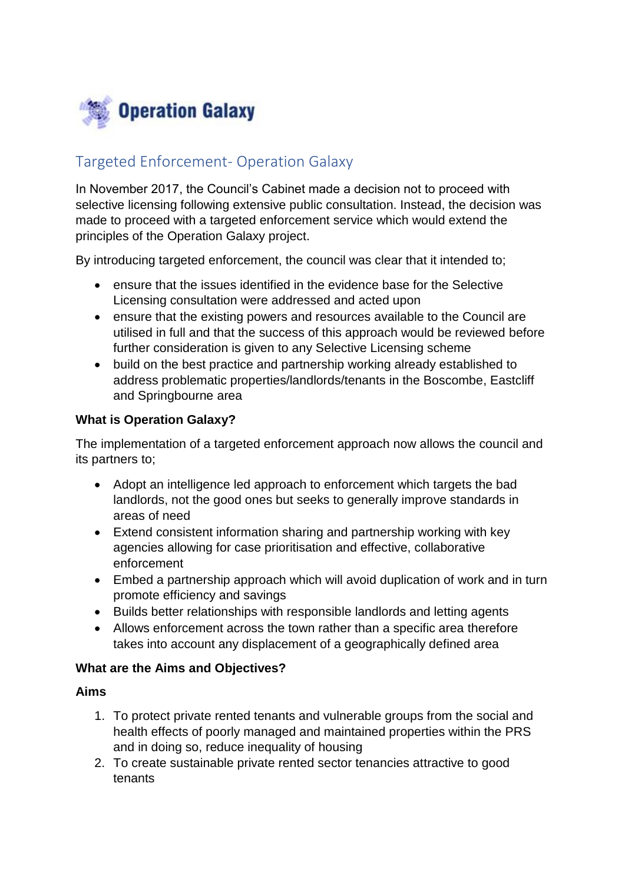

# Targeted Enforcement- Operation Galaxy

In November 2017, the Council's Cabinet made a decision not to proceed with selective licensing following extensive public consultation. Instead, the decision was made to proceed with a targeted enforcement service which would extend the principles of the Operation Galaxy project.

By introducing targeted enforcement, the council was clear that it intended to;

- ensure that the issues identified in the evidence base for the Selective Licensing consultation were addressed and acted upon
- ensure that the existing powers and resources available to the Council are utilised in full and that the success of this approach would be reviewed before further consideration is given to any Selective Licensing scheme
- build on the best practice and partnership working already established to address problematic properties/landlords/tenants in the Boscombe, Eastcliff and Springbourne area

### **What is Operation Galaxy?**

The implementation of a targeted enforcement approach now allows the council and its partners to;

- Adopt an intelligence led approach to enforcement which targets the bad landlords, not the good ones but seeks to generally improve standards in areas of need
- Extend consistent information sharing and partnership working with key agencies allowing for case prioritisation and effective, collaborative enforcement
- Embed a partnership approach which will avoid duplication of work and in turn promote efficiency and savings
- Builds better relationships with responsible landlords and letting agents
- Allows enforcement across the town rather than a specific area therefore takes into account any displacement of a geographically defined area

#### **What are the Aims and Objectives?**

#### **Aims**

- 1. To protect private rented tenants and vulnerable groups from the social and health effects of poorly managed and maintained properties within the PRS and in doing so, reduce inequality of housing
- 2. To create sustainable private rented sector tenancies attractive to good tenants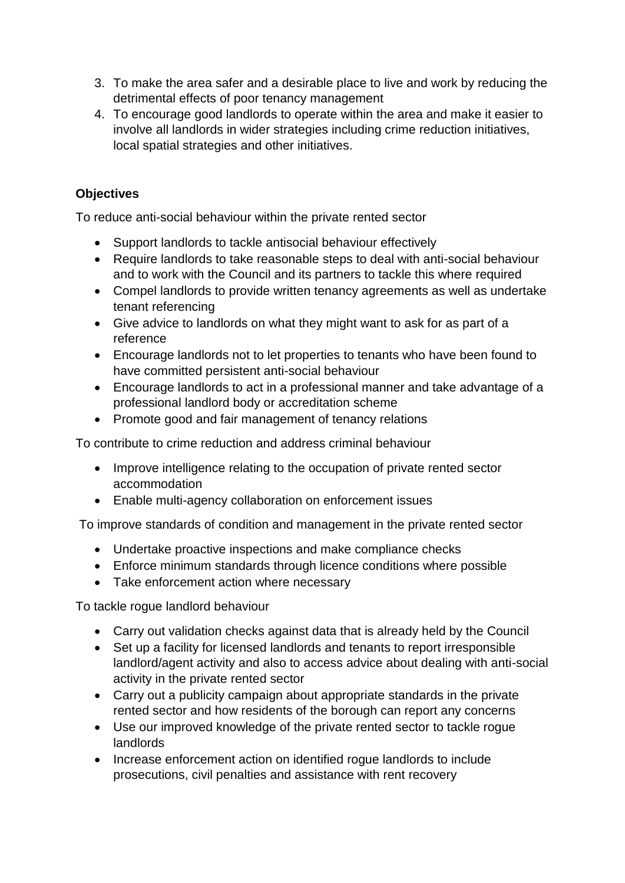- 3. To make the area safer and a desirable place to live and work by reducing the detrimental effects of poor tenancy management
- 4. To encourage good landlords to operate within the area and make it easier to involve all landlords in wider strategies including crime reduction initiatives, local spatial strategies and other initiatives.

# **Objectives**

To reduce anti-social behaviour within the private rented sector

- Support landlords to tackle antisocial behaviour effectively
- Require landlords to take reasonable steps to deal with anti-social behaviour and to work with the Council and its partners to tackle this where required
- Compel landlords to provide written tenancy agreements as well as undertake tenant referencing
- Give advice to landlords on what they might want to ask for as part of a reference
- Encourage landlords not to let properties to tenants who have been found to have committed persistent anti-social behaviour
- Encourage landlords to act in a professional manner and take advantage of a professional landlord body or accreditation scheme
- Promote good and fair management of tenancy relations

To contribute to crime reduction and address criminal behaviour

- Improve intelligence relating to the occupation of private rented sector accommodation
- Enable multi-agency collaboration on enforcement issues

To improve standards of condition and management in the private rented sector

- Undertake proactive inspections and make compliance checks
- Enforce minimum standards through licence conditions where possible
- Take enforcement action where necessary

To tackle rogue landlord behaviour

- Carry out validation checks against data that is already held by the Council
- Set up a facility for licensed landlords and tenants to report irresponsible landlord/agent activity and also to access advice about dealing with anti-social activity in the private rented sector
- Carry out a publicity campaign about appropriate standards in the private rented sector and how residents of the borough can report any concerns
- Use our improved knowledge of the private rented sector to tackle rogue landlords
- Increase enforcement action on identified rogue landlords to include prosecutions, civil penalties and assistance with rent recovery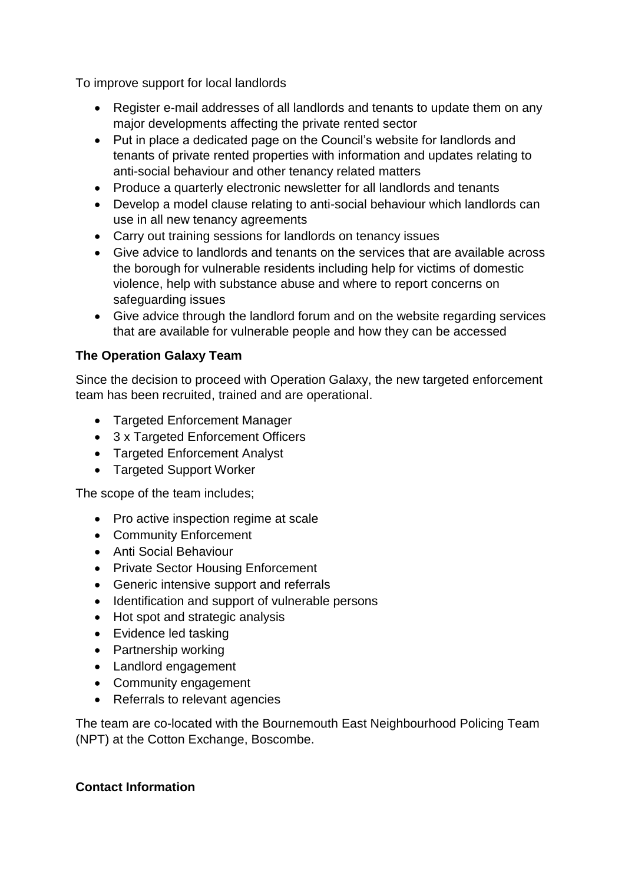To improve support for local landlords

- Register e-mail addresses of all landlords and tenants to update them on any major developments affecting the private rented sector
- Put in place a dedicated page on the Council's website for landlords and tenants of private rented properties with information and updates relating to anti-social behaviour and other tenancy related matters
- Produce a quarterly electronic newsletter for all landlords and tenants
- Develop a model clause relating to anti-social behaviour which landlords can use in all new tenancy agreements
- Carry out training sessions for landlords on tenancy issues
- Give advice to landlords and tenants on the services that are available across the borough for vulnerable residents including help for victims of domestic violence, help with substance abuse and where to report concerns on safeguarding issues
- Give advice through the landlord forum and on the website regarding services that are available for vulnerable people and how they can be accessed

## **The Operation Galaxy Team**

Since the decision to proceed with Operation Galaxy, the new targeted enforcement team has been recruited, trained and are operational.

- Targeted Enforcement Manager
- 3 x Targeted Enforcement Officers
- Targeted Enforcement Analyst
- Targeted Support Worker

The scope of the team includes;

- Pro active inspection regime at scale
- Community Enforcement
- Anti Social Behaviour
- Private Sector Housing Enforcement
- Generic intensive support and referrals
- Identification and support of vulnerable persons
- Hot spot and strategic analysis
- Evidence led tasking
- Partnership working
- Landlord engagement
- Community engagement
- Referrals to relevant agencies

The team are co-located with the Bournemouth East Neighbourhood Policing Team (NPT) at the Cotton Exchange, Boscombe.

## **Contact Information**